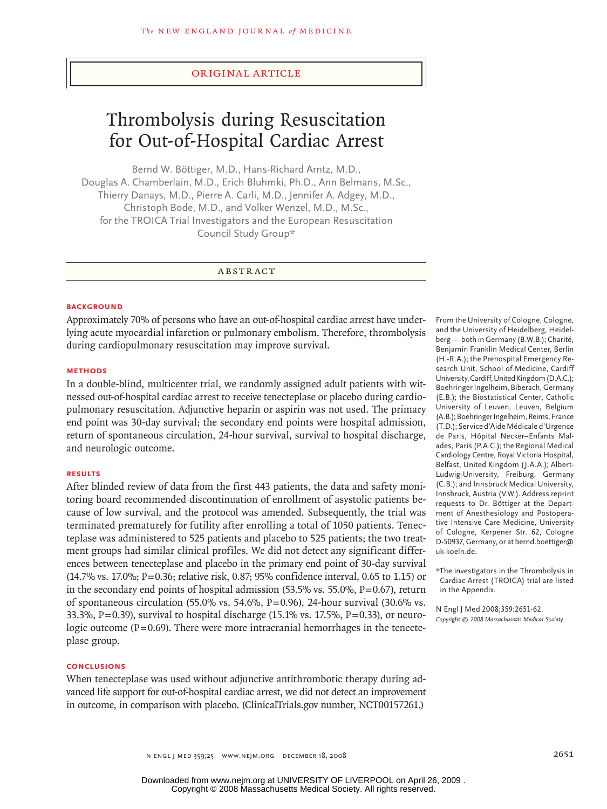## original article

# Thrombolysis during Resuscitation for Out-of-Hospital Cardiac Arrest

Bernd W. Böttiger, M.D., Hans-Richard Arntz, M.D., Douglas A. Chamberlain, M.D., Erich Bluhmki, Ph.D., Ann Belmans, M.Sc., Thierry Danays, M.D., Pierre A. Carli, M.D., Jennifer A. Adgey, M.D., Christoph Bode, M.D., and Volker Wenzel, M.D., M.Sc., for the TROICA Trial Investigators and the European Resuscitation Council Study Group\*

ABSTRACT

#### **BACKGROUND**

Approximately 70% of persons who have an out-of-hospital cardiac arrest have underlying acute myocardial infarction or pulmonary embolism. Therefore, thrombolysis during cardiopulmonary resuscitation may improve survival.

## **METHODS**

In a double-blind, multicenter trial, we randomly assigned adult patients with witnessed out-of-hospital cardiac arrest to receive tenecteplase or placebo during cardiopulmonary resuscitation. Adjunctive heparin or aspirin was not used. The primary end point was 30-day survival; the secondary end points were hospital admission, return of spontaneous circulation, 24-hour survival, survival to hospital discharge, and neurologic outcome.

## **RESULTS**

After blinded review of data from the first 443 patients, the data and safety monitoring board recommended discontinuation of enrollment of asystolic patients because of low survival, and the protocol was amended. Subsequently, the trial was terminated prematurely for futility after enrolling a total of 1050 patients. Tenecteplase was administered to 525 patients and placebo to 525 patients; the two treatment groups had similar clinical profiles. We did not detect any significant differences between tenecteplase and placebo in the primary end point of 30-day survival (14.7% vs. 17.0%; P=0.36; relative risk, 0.87; 95% confidence interval, 0.65 to 1.15) or in the secondary end points of hospital admission (53.5% vs. 55.0%,  $P=0.67$ ), return of spontaneous circulation (55.0% vs. 54.6%,  $P=0.96$ ), 24-hour survival (30.6% vs. 33.3%, P=0.39), survival to hospital discharge (15.1% vs. 17.5%, P=0.33), or neurologic outcome  $(P=0.69)$ . There were more intracranial hemorrhages in the tenecteplase group.

## **CONCLUSIONS**

When tenecteplase was used without adjunctive antithrombotic therapy during advanced life support for out-of-hospital cardiac arrest, we did not detect an improvement in outcome, in comparison with placebo. (ClinicalTrials.gov number, NCT00157261.)

From the University of Cologne, Cologne, and the University of Heidelberg, Heidelberg — both in Germany (B.W.B.); Charité, Benjamin Franklin Medical Center, Berlin (H.-R.A.); the Prehospital Emergency Research Unit, School of Medicine, Cardiff University, Cardiff, United Kingdom (D.A.C.); Boehringer Ingelheim, Biberach, Germany (E.B.); the Biostatistical Center, Catholic University of Leuven, Leuven, Belgium (A.B.); Boehringer Ingelheim, Reims, France (T.D.); Service d'Aide Médicale d'Urgence de Paris, Hôpital Necker–Enfants Malades, Paris (P.A.C.); the Regional Medical Cardiology Centre, Royal Victoria Hospital, Belfast, United Kingdom (J.A.A.); Albert-Ludwig-University, Freiburg, Germany (C.B.); and Innsbruck Medical University, Innsbruck, Austria (V.W.). Address reprint requests to Dr. Böttiger at the Department of Anesthesiology and Postoperative Intensive Care Medicine, University of Cologne, Kerpener Str. 62, Cologne D-50937, Germany, or at bernd.boettiger@ uk-koeln.de.

\*The investigators in the Thrombolysis in Cardiac Arrest (TROICA) trial are listed in the Appendix.

N Engl J Med 2008;359:2651-62. *Copyright © 2008 Massachusetts Medical Society.*

n engl j med 359;25 www.nejm.org december 18, 2008 2651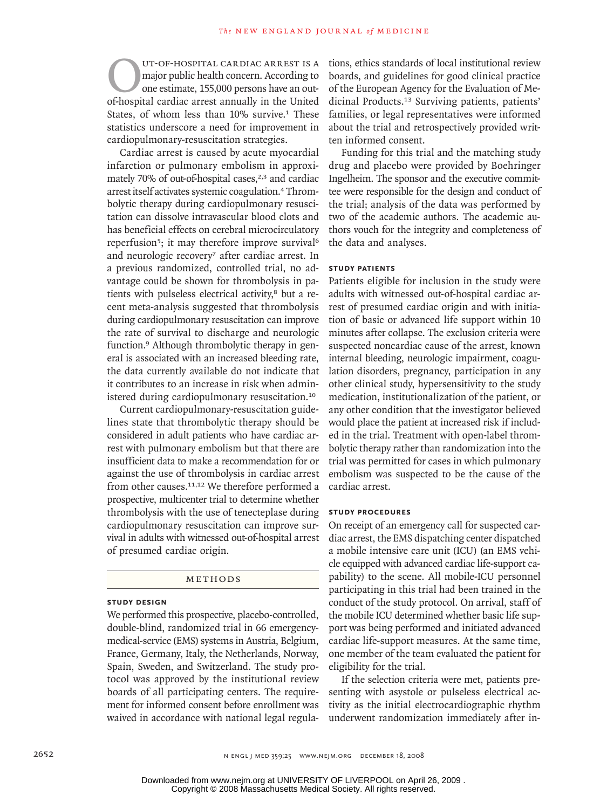UT-OF-HOSPITAL CARDIAC ARREST IS A major public health concern. According to one estimate, 155,000 persons have an outof-hospital cardiac arrest annually in the United States, of whom less than 10% survive.<sup>1</sup> These statistics underscore a need for improvement in cardiopulmonary-resuscitation strategies.

Cardiac arrest is caused by acute myocardial infarction or pulmonary embolism in approximately 70% of out-of-hospital cases,<sup>2,3</sup> and cardiac arrest itself activates systemic coagulation.4 Thrombolytic therapy during cardiopulmonary resuscitation can dissolve intravascular blood clots and has beneficial effects on cerebral microcirculatory reperfusion<sup>5</sup>; it may therefore improve survival<sup>6</sup> and neurologic recovery<sup>7</sup> after cardiac arrest. In a previous randomized, controlled trial, no advantage could be shown for thrombolysis in patients with pulseless electrical activity,<sup>8</sup> but a recent meta-analysis suggested that thrombolysis during cardiopulmonary resuscitation can improve the rate of survival to discharge and neurologic function.9 Although thrombolytic therapy in general is associated with an increased bleeding rate, the data currently available do not indicate that it contributes to an increase in risk when administered during cardiopulmonary resuscitation.<sup>10</sup>

Current cardiopulmonary-resuscitation guidelines state that thrombolytic therapy should be considered in adult patients who have cardiac arrest with pulmonary embolism but that there are insufficient data to make a recommendation for or against the use of thrombolysis in cardiac arrest from other causes.<sup>11,12</sup> We therefore performed a prospective, multicenter trial to determine whether thrombolysis with the use of tenecteplase during cardiopulmonary resuscitation can improve survival in adults with witnessed out-of-hospital arrest of presumed cardiac origin.

## Methods

## **STUDY DESIGN**

We performed this prospective, placebo-controlled, double-blind, randomized trial in 66 emergencymedical-service (EMS) systems in Austria, Belgium, France, Germany, Italy, the Netherlands, Norway, Spain, Sweden, and Switzerland. The study protocol was approved by the institutional review boards of all participating centers. The requirement for informed consent before enrollment was waived in accordance with national legal regulations, ethics standards of local institutional review boards, and guidelines for good clinical practice of the European Agency for the Evaluation of Medicinal Products.<sup>13</sup> Surviving patients, patients' families, or legal representatives were informed about the trial and retrospectively provided written informed consent.

Funding for this trial and the matching study drug and placebo were provided by Boehringer Ingelheim. The sponsor and the executive committee were responsible for the design and conduct of the trial; analysis of the data was performed by two of the academic authors. The academic authors vouch for the integrity and completeness of the data and analyses.

## **STUDY PATIENTS**

Patients eligible for inclusion in the study were adults with witnessed out-of-hospital cardiac arrest of presumed cardiac origin and with initiation of basic or advanced life support within 10 minutes after collapse. The exclusion criteria were suspected noncardiac cause of the arrest, known internal bleeding, neurologic impairment, coagulation disorders, pregnancy, participation in any other clinical study, hypersensitivity to the study medication, institutionalization of the patient, or any other condition that the investigator believed would place the patient at increased risk if included in the trial. Treatment with open-label thrombolytic therapy rather than randomization into the trial was permitted for cases in which pulmonary embolism was suspected to be the cause of the cardiac arrest.

## **STUDY PROCEDURES**

On receipt of an emergency call for suspected cardiac arrest, the EMS dispatching center dispatched a mobile intensive care unit (ICU) (an EMS vehicle equipped with advanced cardiac life-support capability) to the scene. All mobile-ICU personnel participating in this trial had been trained in the conduct of the study protocol. On arrival, staff of the mobile ICU determined whether basic life support was being performed and initiated advanced cardiac life-support measures. At the same time, one member of the team evaluated the patient for eligibility for the trial.

If the selection criteria were met, patients presenting with asystole or pulseless electrical activity as the initial electrocardiographic rhythm underwent randomization immediately after in-

Copyright © 2008 Massachusetts Medical Society. All rights reserved. Downloaded from www.nejm.org at UNIVERSITY OF LIVERPOOL on April 26, 2009 .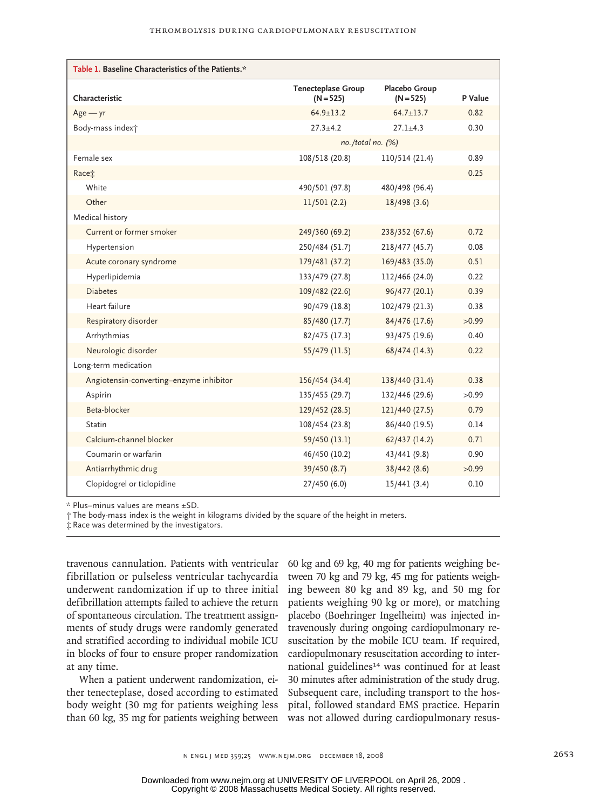| Table 1. Baseline Characteristics of the Patients.* |                                          |                              |         |  |
|-----------------------------------------------------|------------------------------------------|------------------------------|---------|--|
| Characteristic                                      | <b>Tenecteplase Group</b><br>$(N = 525)$ | Placebo Group<br>$(N = 525)$ | P Value |  |
| $Age - yr$                                          | $64.9 + 13.2$                            | $64.7 + 13.7$                | 0.82    |  |
| Body-mass index <sup>+</sup>                        | $27.3 + 4.2$                             | $27.1 + 4.3$                 | 0.30    |  |
|                                                     | no./total no. (%)                        |                              |         |  |
| Female sex                                          | 108/518 (20.8)                           | 110/514 (21.4)               | 0.89    |  |
| Racet                                               |                                          |                              | 0.25    |  |
| White                                               | 490/501 (97.8)                           | 480/498 (96.4)               |         |  |
| Other                                               | 11/501(2.2)                              | 18/498(3.6)                  |         |  |
| Medical history                                     |                                          |                              |         |  |
| Current or former smoker                            | 249/360 (69.2)                           | 238/352 (67.6)               | 0.72    |  |
| Hypertension                                        | 250/484 (51.7)                           | 218/477 (45.7)               | 0.08    |  |
| Acute coronary syndrome                             | 179/481 (37.2)                           | 169/483 (35.0)               | 0.51    |  |
| Hyperlipidemia                                      | 133/479 (27.8)                           | 112/466 (24.0)               | 0.22    |  |
| <b>Diabetes</b>                                     | 109/482 (22.6)                           | 96/477 (20.1)                | 0.39    |  |
| Heart failure                                       | 90/479 (18.8)                            | 102/479 (21.3)               | 0.38    |  |
| Respiratory disorder                                | 85/480 (17.7)                            | 84/476 (17.6)                | >0.99   |  |
| Arrhythmias                                         | 82/475 (17.3)                            | 93/475 (19.6)                | 0.40    |  |
| Neurologic disorder                                 | 55/479 (11.5)                            | 68/474 (14.3)                | 0.22    |  |
| Long-term medication                                |                                          |                              |         |  |
| Angiotensin-converting-enzyme inhibitor             | 156/454 (34.4)                           | 138/440 (31.4)               | 0.38    |  |
| Aspirin                                             | 135/455 (29.7)                           | 132/446 (29.6)               | >0.99   |  |
| Beta-blocker                                        | 129/452 (28.5)                           | 121/440 (27.5)               | 0.79    |  |
| <b>Statin</b>                                       | 108/454 (23.8)                           | 86/440 (19.5)                | 0.14    |  |
| Calcium-channel blocker                             | 59/450 (13.1)                            | 62/437 (14.2)                | 0.71    |  |
| Coumarin or warfarin                                | 46/450 (10.2)                            | 43/441 (9.8)                 | 0.90    |  |
| Antiarrhythmic drug                                 | 39/450 (8.7)                             | 38/442 (8.6)                 | >0.99   |  |
| Clopidogrel or ticlopidine                          | 27/450 (6.0)                             | 15/441(3.4)                  | 0.10    |  |

\* Plus–minus values are means ±SD.

† The body-mass index is the weight in kilograms divided by the square of the height in meters.

‡ Race was determined by the investigators.

travenous cannulation. Patients with ventricular fibrillation or pulseless ventricular tachycardia underwent randomization if up to three initial defibrillation attempts failed to achieve the return of spontaneous circulation. The treatment assignments of study drugs were randomly generated and stratified according to individual mobile ICU in blocks of four to ensure proper randomization at any time.

When a patient underwent randomization, either tenecteplase, dosed according to estimated body weight (30 mg for patients weighing less than 60 kg, 35 mg for patients weighing between was not allowed during cardiopulmonary resus-

60 kg and 69 kg, 40 mg for patients weighing between 70 kg and 79 kg, 45 mg for patients weighing beween 80 kg and 89 kg, and 50 mg for patients weighing 90 kg or more), or matching placebo (Boehringer Ingelheim) was injected intravenously during ongoing cardiopulmonary resuscitation by the mobile ICU team. If required, cardiopulmonary resuscitation according to international guidelines<sup>14</sup> was continued for at least 30 minutes after administration of the study drug. Subsequent care, including transport to the hospital, followed standard EMS practice. Heparin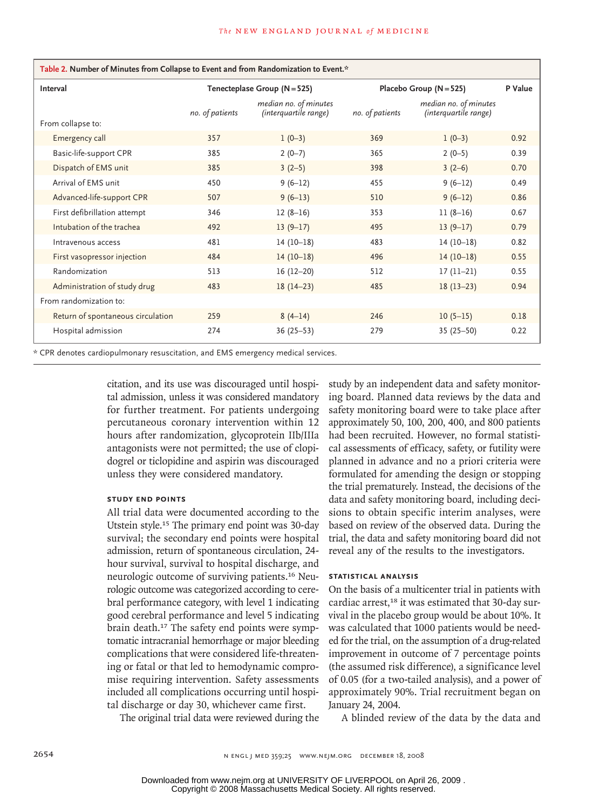| Table 2. Number of Minutes from Collapse to Event and from Randomization to Event.* |                 |                                                |                           |                                                |      |  |
|-------------------------------------------------------------------------------------|-----------------|------------------------------------------------|---------------------------|------------------------------------------------|------|--|
| Interval                                                                            |                 | Tenecteplase Group (N = 525)                   | Placebo Group $(N = 525)$ | P Value                                        |      |  |
| From collapse to:                                                                   | no. of patients | median no. of minutes<br>(interquartile range) | no. of patients           | median no. of minutes<br>(interquartile range) |      |  |
|                                                                                     |                 |                                                |                           |                                                |      |  |
| Emergency call                                                                      | 357             | $1(0-3)$                                       | 369                       | $1(0-3)$                                       | 0.92 |  |
| Basic-life-support CPR                                                              | 385             | $2(0-7)$                                       | 365                       | $2(0-5)$                                       | 0.39 |  |
| Dispatch of EMS unit                                                                | 385             | $3(2-5)$                                       | 398                       | $3(2-6)$                                       | 0.70 |  |
| Arrival of EMS unit                                                                 | 450             | $9(6-12)$                                      | 455                       | $9(6-12)$                                      | 0.49 |  |
| Advanced-life-support CPR                                                           | 507             | $9(6-13)$                                      | 510                       | $9(6-12)$                                      | 0.86 |  |
| First defibrillation attempt                                                        | 346             | $12(8-16)$                                     | 353                       | $11(8-16)$                                     | 0.67 |  |
| Intubation of the trachea                                                           | 492             | $13(9-17)$                                     | 495                       | $13(9-17)$                                     | 0.79 |  |
| Intravenous access                                                                  | 481             | $14(10-18)$                                    | 483                       | $14(10-18)$                                    | 0.82 |  |
| First vasopressor injection                                                         | 484             | $14(10-18)$                                    | 496                       | $14(10-18)$                                    | 0.55 |  |
| Randomization                                                                       | 513             | $16(12-20)$                                    | 512                       | $17(11-21)$                                    | 0.55 |  |
| Administration of study drug                                                        | 483             | $18(14-23)$                                    | 485                       | $18(13-23)$                                    | 0.94 |  |
| From randomization to:                                                              |                 |                                                |                           |                                                |      |  |
| Return of spontaneous circulation                                                   | 259             | $8(4-14)$                                      | 246                       | $10(5-15)$                                     | 0.18 |  |
| Hospital admission                                                                  | 274             | $36(25-53)$                                    | 279                       | $35(25-50)$                                    | 0.22 |  |

\* CPR denotes cardiopulmonary resuscitation, and EMS emergency medical services.

citation, and its use was discouraged until hospital admission, unless it was considered mandatory for further treatment. For patients undergoing percutaneous coronary intervention within 12 hours after randomization, glycoprotein IIb/IIIa antagonists were not permitted; the use of clopidogrel or ticlopidine and aspirin was discouraged unless they were considered mandatory.

### **STUDY END POINTS**

All trial data were documented according to the Utstein style.15 The primary end point was 30-day survival; the secondary end points were hospital admission, return of spontaneous circulation, 24 hour survival, survival to hospital discharge, and neurologic outcome of surviving patients.16 Neurologic outcome was categorized according to cerebral performance category, with level 1 indicating good cerebral performance and level 5 indicating brain death.17 The safety end points were symptomatic intracranial hemorrhage or major bleeding complications that were considered life-threatening or fatal or that led to hemodynamic compromise requiring intervention. Safety assessments included all complications occurring until hospital discharge or day 30, whichever came first.

The original trial data were reviewed during the

study by an independent data and safety monitoring board. Planned data reviews by the data and safety monitoring board were to take place after approximately 50, 100, 200, 400, and 800 patients had been recruited. However, no formal statistical assessments of efficacy, safety, or futility were planned in advance and no a priori criteria were formulated for amending the design or stopping the trial prematurely. Instead, the decisions of the data and safety monitoring board, including decisions to obtain specific interim analyses, were based on review of the observed data. During the trial, the data and safety monitoring board did not reveal any of the results to the investigators.

## **STATISTICAL ANALYSIS**

On the basis of a multicenter trial in patients with cardiac arrest,<sup>18</sup> it was estimated that 30-day survival in the placebo group would be about 10%. It was calculated that 1000 patients would be needed for the trial, on the assumption of a drug-related improvement in outcome of 7 percentage points (the assumed risk difference), a significance level of 0.05 (for a two-tailed analysis), and a power of approximately 90%. Trial recruitment began on January 24, 2004.

A blinded review of the data by the data and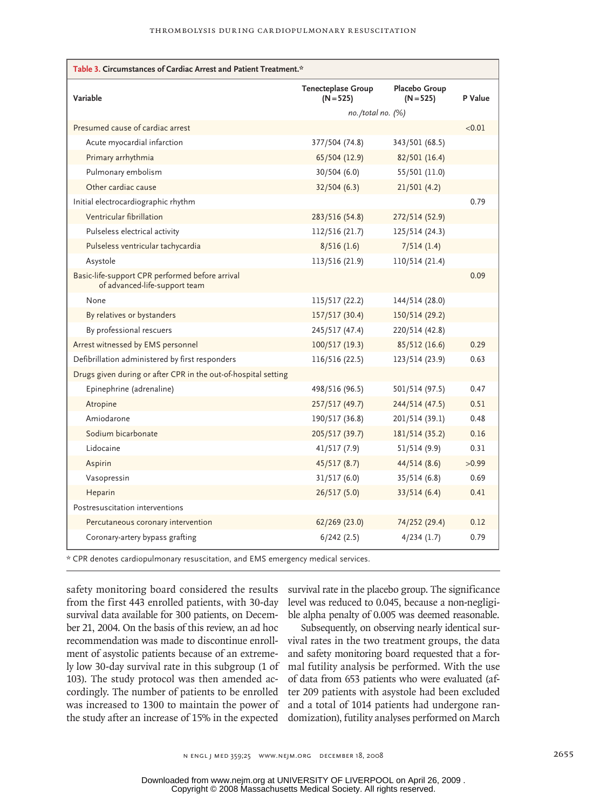| Table 3. Circumstances of Cardiac Arrest and Patient Treatment.*                 |                                          |                              |         |
|----------------------------------------------------------------------------------|------------------------------------------|------------------------------|---------|
| Variable                                                                         | <b>Tenecteplase Group</b><br>$(N = 525)$ | Placebo Group<br>$(N = 525)$ | P Value |
|                                                                                  | no. /total no. (%)                       |                              |         |
| Presumed cause of cardiac arrest                                                 |                                          |                              | < 0.01  |
| Acute myocardial infarction                                                      | 377/504 (74.8)                           | 343/501 (68.5)               |         |
| Primary arrhythmia                                                               | 65/504 (12.9)                            | 82/501 (16.4)                |         |
| Pulmonary embolism                                                               | 30/504 (6.0)                             | 55/501 (11.0)                |         |
| Other cardiac cause                                                              | 32/504(6.3)                              | 21/501(4.2)                  |         |
| Initial electrocardiographic rhythm                                              |                                          |                              | 0.79    |
| Ventricular fibrillation                                                         | 283/516 (54.8)                           | 272/514 (52.9)               |         |
| Pulseless electrical activity                                                    | 112/516 (21.7)                           | 125/514 (24.3)               |         |
| Pulseless ventricular tachycardia                                                | 8/516(1.6)                               | 7/514(1.4)                   |         |
| Asystole                                                                         | 113/516 (21.9)                           | 110/514 (21.4)               |         |
| Basic-life-support CPR performed before arrival<br>of advanced-life-support team |                                          |                              | 0.09    |
| None                                                                             | 115/517 (22.2)                           | 144/514 (28.0)               |         |
| By relatives or bystanders                                                       | 157/517 (30.4)                           | 150/514 (29.2)               |         |
| By professional rescuers                                                         | 245/517 (47.4)                           | 220/514 (42.8)               |         |
| Arrest witnessed by EMS personnel                                                | 100/517 (19.3)                           | 85/512 (16.6)                | 0.29    |
| Defibrillation administered by first responders                                  | 116/516 (22.5)                           | 123/514 (23.9)               | 0.63    |
| Drugs given during or after CPR in the out-of-hospital setting                   |                                          |                              |         |
| Epinephrine (adrenaline)                                                         | 498/516 (96.5)                           | 501/514 (97.5)               | 0.47    |
| Atropine                                                                         | 257/517 (49.7)                           | 244/514 (47.5)               | 0.51    |
| Amiodarone                                                                       | 190/517 (36.8)                           | 201/514 (39.1)               | 0.48    |
| Sodium bicarbonate                                                               | 205/517 (39.7)                           | 181/514 (35.2)               | 0.16    |
| Lidocaine                                                                        | 41/517(7.9)                              | 51/514(9.9)                  | 0.31    |
| Aspirin                                                                          | 45/517(8.7)                              | 44/514(8.6)                  | >0.99   |
| Vasopressin                                                                      | 31/517(6.0)                              | 35/514(6.8)                  | 0.69    |
| Heparin                                                                          | 26/517(5.0)                              | 33/514(6.4)                  | 0.41    |
| Postresuscitation interventions                                                  |                                          |                              |         |
| Percutaneous coronary intervention                                               | 62/269 (23.0)                            | 74/252 (29.4)                | 0.12    |
| Coronary-artery bypass grafting                                                  | 6/242(2.5)                               | 4/234(1.7)                   | 0.79    |

\* CPR denotes cardiopulmonary resuscitation, and EMS emergency medical services.

safety monitoring board considered the results survival rate in the placebo group. The significance from the first 443 enrolled patients, with 30-day survival data available for 300 patients, on December 21, 2004. On the basis of this review, an ad hoc recommendation was made to discontinue enrollment of asystolic patients because of an extremely low 30-day survival rate in this subgroup (1 of 103). The study protocol was then amended accordingly. The number of patients to be enrolled was increased to 1300 to maintain the power of and a total of 1014 patients had undergone ran-

level was reduced to 0.045, because a non-negligible alpha penalty of 0.005 was deemed reasonable.

the study after an increase of 15% in the expected domization), futility analyses performed on March Subsequently, on observing nearly identical survival rates in the two treatment groups, the data and safety monitoring board requested that a formal futility analysis be performed. With the use of data from 653 patients who were evaluated (after 209 patients with asystole had been excluded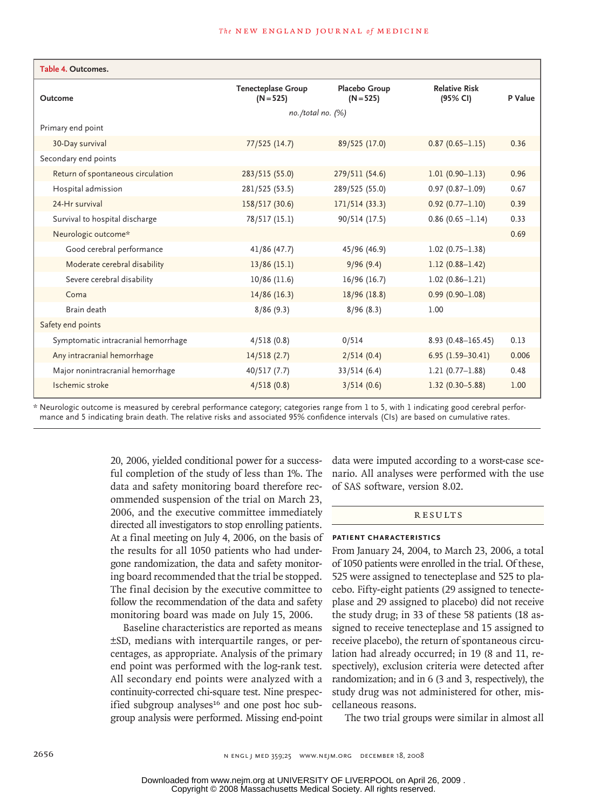| Table 4. Outcomes.                  |                                          |                              |                                  |         |  |  |
|-------------------------------------|------------------------------------------|------------------------------|----------------------------------|---------|--|--|
| Outcome                             | <b>Tenecteplase Group</b><br>$(N = 525)$ | Placebo Group<br>$(N = 525)$ | <b>Relative Risk</b><br>(95% CI) | P Value |  |  |
|                                     | no./total no. (%)                        |                              |                                  |         |  |  |
| Primary end point                   |                                          |                              |                                  |         |  |  |
| 30-Day survival                     | 77/525 (14.7)                            | 89/525 (17.0)                | $0.87(0.65 - 1.15)$              | 0.36    |  |  |
| Secondary end points                |                                          |                              |                                  |         |  |  |
| Return of spontaneous circulation   | 283/515 (55.0)                           | 279/511 (54.6)               | $1.01(0.90 - 1.13)$              | 0.96    |  |  |
| Hospital admission                  | 281/525 (53.5)                           | 289/525 (55.0)               | $0.97(0.87 - 1.09)$              | 0.67    |  |  |
| 24-Hr survival                      | 158/517 (30.6)                           | 171/514 (33.3)               | $0.92(0.77 - 1.10)$              | 0.39    |  |  |
| Survival to hospital discharge      | 78/517 (15.1)                            | 90/514 (17.5)                | $0.86$ (0.65 -1.14)              | 0.33    |  |  |
| Neurologic outcome*                 |                                          |                              |                                  | 0.69    |  |  |
| Good cerebral performance           | 41/86 (47.7)                             | 45/96 (46.9)                 | $1.02(0.75 - 1.38)$              |         |  |  |
| Moderate cerebral disability        | 13/86(15.1)                              | 9/96(9.4)                    | $1.12(0.88 - 1.42)$              |         |  |  |
| Severe cerebral disability          | 10/86 (11.6)                             | 16/96 (16.7)                 | $1.02(0.86 - 1.21)$              |         |  |  |
| Coma                                | 14/86(16.3)                              | 18/96 (18.8)                 | $0.99(0.90 - 1.08)$              |         |  |  |
| Brain death                         | 8/86(9.3)                                | 8/96(8.3)                    | 1.00                             |         |  |  |
| Safety end points                   |                                          |                              |                                  |         |  |  |
| Symptomatic intracranial hemorrhage | 4/518(0.8)                               | 0/514                        | 8.93 (0.48-165.45)               | 0.13    |  |  |
| Any intracranial hemorrhage         | 14/518(2.7)                              | 2/514(0.4)                   | $6.95(1.59-30.41)$               | 0.006   |  |  |
| Major nonintracranial hemorrhage    | 40/517(7.7)                              | 33/514(6.4)                  | $1.21(0.77-1.88)$                | 0.48    |  |  |
| Ischemic stroke                     | 4/518(0.8)                               | 3/514(0.6)                   | $1.32(0.30 - 5.88)$              | 1.00    |  |  |

\* Neurologic outcome is measured by cerebral performance category; categories range from 1 to 5, with 1 indicating good cerebral performance and 5 indicating brain death. The relative risks and associated 95% confidence intervals (CIs) are based on cumulative rates.

> 20, 2006, yielded conditional power for a successful completion of the study of less than 1%. The data and safety monitoring board therefore recommended suspension of the trial on March 23, 2006, and the executive committee immediately directed all investigators to stop enrolling patients. At a final meeting on July 4, 2006, on the basis of the results for all 1050 patients who had undergone randomization, the data and safety monitoring board recommended that the trial be stopped. The final decision by the executive committee to follow the recommendation of the data and safety monitoring board was made on July 15, 2006.

> Baseline characteristics are reported as means ±SD, medians with interquartile ranges, or percentages, as appropriate. Analysis of the primary end point was performed with the log-rank test. All secondary end points were analyzed with a continuity-corrected chi-square test. Nine prespecified subgroup analyses<sup>16</sup> and one post hoc subgroup analysis were performed. Missing end-point

data were imputed according to a worst-case scenario. All analyses were performed with the use of SAS software, version 8.02.

#### Results

## **PATIENT CHARACTERISTICS**

From January 24, 2004, to March 23, 2006, a total of 1050 patients were enrolled in the trial. Of these, 525 were assigned to tenecteplase and 525 to placebo. Fifty-eight patients (29 assigned to tenecteplase and 29 assigned to placebo) did not receive the study drug; in 33 of these 58 patients (18 assigned to receive tenecteplase and 15 assigned to receive placebo), the return of spontaneous circulation had already occurred; in 19 (8 and 11, respectively), exclusion criteria were detected after randomization; and in 6 (3 and 3, respectively), the study drug was not administered for other, miscellaneous reasons.

The two trial groups were similar in almost all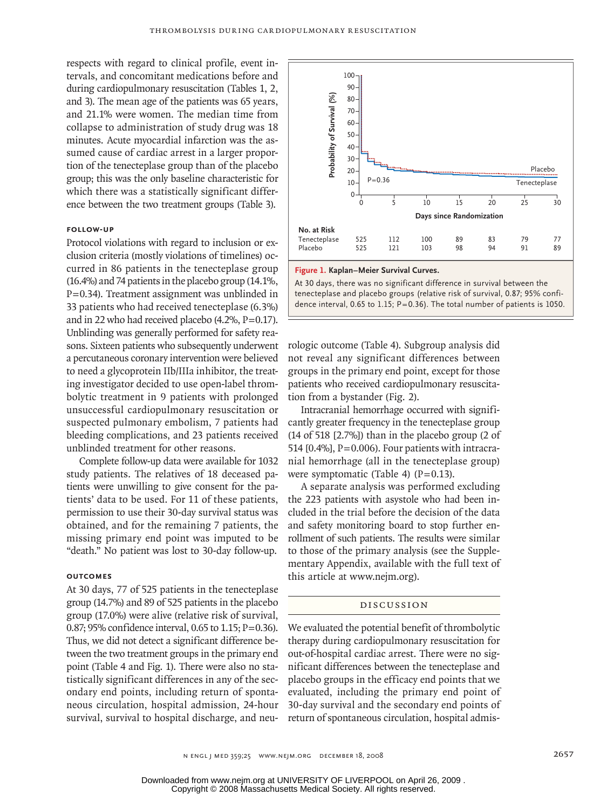respects with regard to clinical profile, event intervals, and concomitant medications before and during cardiopulmonary resuscitation (Tables 1, 2, and 3). The mean age of the patients was 65 years, and 21.1% were women. The median time from collapse to administration of study drug was 18 minutes. Acute myocardial infarction was the assumed cause of cardiac arrest in a larger proportion of the tenecteplase group than of the placebo group; this was the only baseline characteristic for which there was a statistically significant difference between the two treatment groups (Table 3).

## **FOLLOW-UP**

Protocol violations with regard to inclusion or exclusion criteria (mostly violations of timelines) occurred in 86 patients in the tenecteplase group (16.4%) and 74 patients in the placebo group (14.1%, P=0.34). Treatment assignment was unblinded in 33 patients who had received tenecteplase (6.3%) and in 22 who had received placebo  $(4.2\%, P=0.17)$ . Unblinding was generally performed for safety reasons. Sixteen patients who subsequently underwent a percutaneous coronary intervention were believed to need a glycoprotein IIb/IIIa inhibitor, the treating investigator decided to use open-label thrombolytic treatment in 9 patients with prolonged unsuccessful cardiopulmonary resuscitation or suspected pulmonary embolism, 7 patients had bleeding complications, and 23 patients received unblinded treatment for other reasons.

Complete follow-up data were available for 1032 study patients. The relatives of 18 deceased patients were unwilling to give consent for the patients' data to be used. For 11 of these patients, permission to use their 30-day survival status was obtained, and for the remaining 7 patients, the missing primary end point was imputed to be "death." No patient was lost to 30-day follow-up.

## **OUTCOMES**

At 30 days, 77 of 525 patients in the tenecteplase group (14.7%) and 89 of 525 patients in the placebo group (17.0%) were alive (relative risk of survival, 0.87; 95% confidence interval, 0.65 to 1.15;  $P = 0.36$ ). Thus, we did not detect a significant difference between the two treatment groups in the primary end point (Table 4 and Fig. 1). There were also no statistically significant differences in any of the secondary end points, including return of spontaneous circulation, hospital admission, 24-hour survival, survival to hospital discharge, and neu-





At 30 days, there was no significant difference in survival between the and placebo groups (relative risk of survival, 0.87; 9!  $\frac{1}{2}$ dence interval, 0.65 to 1.15; P=0.36). The total number of patients is 1050. email de la composició de la composició de la composició de la composició de la composició de la composició de<br>En la composició de la composició de la composició de la composició de la composició de la composició de la co tenecteplase and placebo groups (relative risk of survival, 0.87; 95% confi-

**SIZE**

rologic outcome (Table 4). Subgroup analysis did **Figure 1** any significant differences between groups in the primary end point, except for those patients who received cardiopulmonary resuscitation from a bystander (Fig. 2).

ARTIST: ts

Intracranial hemorrhage occurred with significantly greater frequency in the tenecteplase group (14 of 518 [2.7%]) than in the placebo group (2 of 514  $[0.4\%]$ , P=0.006). Four patients with intracranial hemorrhage (all in the tenecteplase group) were symptomatic (Table 4)  $(P=0.13)$ .

A separate analysis was performed excluding the 223 patients with asystole who had been included in the trial before the decision of the data and safety monitoring board to stop further enrollment of such patients. The results were similar to those of the primary analysis (see the Supplementary Appendix, available with the full text of this article at www.nejm.org).

## Discussion

We evaluated the potential benefit of thrombolytic therapy during cardiopulmonary resuscitation for out-of-hospital cardiac arrest. There were no significant differences between the tenecteplase and placebo groups in the efficacy end points that we evaluated, including the primary end point of 30-day survival and the secondary end points of return of spontaneous circulation, hospital admis-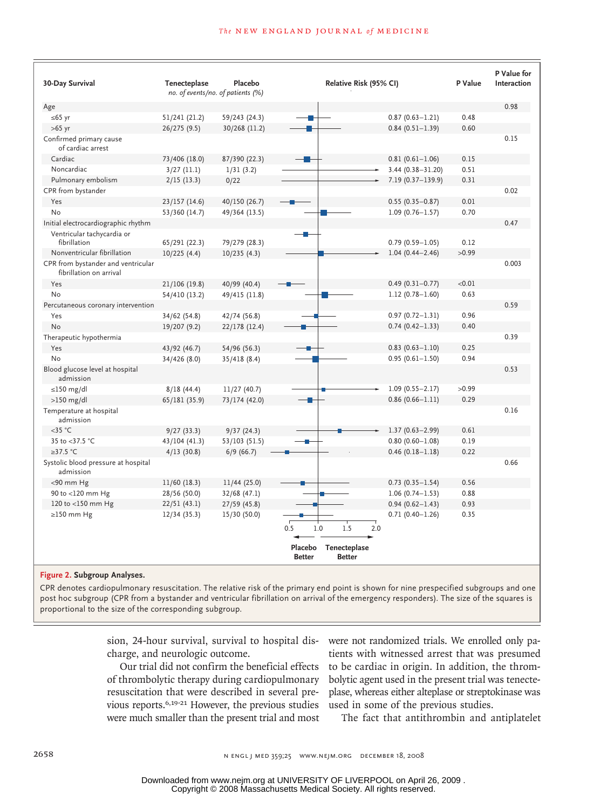#### **The NEW ENGLAND JOURNAL of MEDICINE**

| 30-Day Survival                                               | Tenecteplase   | Placebo<br>no. of events/no. of patients (%) | Relative Risk (95% CI)                                    |                        | P Value | P Value for<br>Interaction |
|---------------------------------------------------------------|----------------|----------------------------------------------|-----------------------------------------------------------|------------------------|---------|----------------------------|
| Age                                                           |                |                                              |                                                           |                        |         | 0.98                       |
| $≤65$ yr                                                      | 51/241 (21.2)  | 59/243 (24.3)                                |                                                           | $0.87(0.63 - 1.21)$    | 0.48    |                            |
| $>65$ yr                                                      | 26/275 (9.5)   | 30/268 (11.2)                                |                                                           | $0.84(0.51 - 1.39)$    | 0.60    |                            |
| Confirmed primary cause<br>of cardiac arrest                  |                |                                              |                                                           |                        |         | 0.15                       |
| Cardiac                                                       | 73/406 (18.0)  | 87/390 (22.3)                                |                                                           | $0.81(0.61 - 1.06)$    | 0.15    |                            |
| Noncardiac                                                    | $3/27$ (11.1)  | 1/31(3.2)                                    |                                                           | 3.44 (0.38-31.20)      | 0.51    |                            |
| Pulmonary embolism                                            | 2/15(13.3)     | 0/22                                         |                                                           | 7.19 (0.37-139.9)      | 0.31    |                            |
| CPR from bystander                                            |                |                                              |                                                           |                        |         | 0.02                       |
| Yes                                                           | 23/157 (14.6)  | 40/150 (26.7)                                |                                                           | $0.55(0.35 - 0.87)$    | 0.01    |                            |
| No                                                            | 53/360 (14.7)  | 49/364 (13.5)                                |                                                           | $1.09(0.76 - 1.57)$    | 0.70    |                            |
| Initial electrocardiographic rhythm                           |                |                                              |                                                           |                        |         | 0.47                       |
| Ventricular tachycardia or<br>fibrillation                    | 65/291 (22.3)  | 79/279 (28.3)                                | o                                                         | $0.79(0.59 - 1.05)$    | 0.12    |                            |
| Nonventricular fibrillation                                   | 10/225(4.4)    | 10/235(4.3)                                  |                                                           | $1.04(0.44 - 2.46)$    | >0.99   |                            |
| CPR from bystander and ventricular<br>fibrillation on arrival |                |                                              |                                                           |                        |         | 0.003                      |
| Yes                                                           | 21/106 (19.8)  | 40/99 (40.4)                                 |                                                           | $0.49(0.31 - 0.77)$    | < 0.01  |                            |
| No                                                            | 54/410 (13.2)  | 49/415 (11.8)                                |                                                           | $1.12(0.78 - 1.60)$    | 0.63    |                            |
| Percutaneous coronary intervention                            |                |                                              |                                                           |                        |         | 0.59                       |
| Yes                                                           | 34/62 (54.8)   | 42/74 (56.8)                                 |                                                           | $0.97(0.72 - 1.31)$    | 0.96    |                            |
| <b>No</b>                                                     | 19/207 (9.2)   | 22/178 (12.4)                                |                                                           | $0.74(0.42 - 1.33)$    | 0.40    |                            |
| Therapeutic hypothermia                                       |                |                                              |                                                           |                        |         | 0.39                       |
| Yes                                                           | 43/92 (46.7)   | 54/96 (56.3)                                 |                                                           | $0.83$ $(0.63 - 1.10)$ | 0.25    |                            |
| No                                                            | 34/426 (8.0)   | 35/418(8.4)                                  |                                                           | $0.95(0.61 - 1.50)$    | 0.94    |                            |
| Blood glucose level at hospital<br>admission                  |                |                                              |                                                           |                        |         | 0.53                       |
| $\leq$ 150 mg/dl                                              | 8/18(44.4)     | 11/27(40.7)                                  |                                                           | $1.09(0.55 - 2.17)$    | >0.99   |                            |
| $>150$ mg/dl                                                  | 65/181 (35.9)  | 73/174 (42.0)                                |                                                           | $0.86(0.66 - 1.11)$    | 0.29    |                            |
| Temperature at hospital<br>admission                          |                |                                              |                                                           |                        |         | 0.16                       |
| $<$ 35 °C                                                     | 9/27(33.3)     | 9/37(24.3)                                   |                                                           | $1.37(0.63 - 2.99)$    | 0.61    |                            |
| 35 to <37.5 °C                                                | 43/104 (41.3)  | 53/103 (51.5)                                |                                                           | $0.80(0.60 - 1.08)$    | 0.19    |                            |
| $\geq$ 37.5 °C                                                | $4/13$ (30.8)  | 6/9(66.7)                                    |                                                           | $0.46(0.18 - 1.18)$    | 0.22    |                            |
| Systolic blood pressure at hospital<br>admission              |                |                                              |                                                           |                        |         | 0.66                       |
| $<$ 90 mm Hg                                                  | $11/60$ (18.3) | $11/44$ (25.0)                               |                                                           | $0.73(0.35 - 1.54)$    | 0.56    |                            |
| 90 to <120 mm Hg                                              | 28/56 (50.0)   | 32/68 (47.1)                                 |                                                           | $1.06(0.74 - 1.53)$    | 0.88    |                            |
| 120 to <150 mm Hg                                             | 22/51(43.1)    | 27/59 (45.8)                                 |                                                           | $0.94(0.62 - 1.43)$    | 0.93    |                            |
| $\geq$ 150 mm Hg                                              | 12/34(35.3)    | 15/30 (50.0)                                 | 0.5<br>1.0<br>1.5<br>2.0                                  | $0.71(0.40 - 1.26)$    | 0.35    |                            |
|                                                               |                |                                              | Placebo<br>Tenecteplase<br><b>Better</b><br><b>Better</b> |                        |         |                            |

## **Figure 2. Subgroup Analyses.**

CPR denotes cardiopulmonary resuscitation. The relative risk of the primary end point is shown for nine prespecified subgroups and one post hoc subgroup (CPR from a bystander and ventricular fibrillation on arrival of the emergency responders). The size of the squares is proportional to the size of the corresponding subgroup.

email de la construction de la construction de la construction de la construction de la construction de la con<br>Linea de la construction de la construction de la construction de la construction de la construction de la con

charge, and neurologic outcome. **AUTHOR, PLEASE NOTE:**

Our trial did not confirm the beneficial effects to be car of thrombolytic therapy during cardiopulmonary resuscitation that were described in several pre- plase, vious reports.<sup>6,19-21</sup> However, the previous studies used in some of the previous studies. were much smaller than the present trial and most

sion, 24-hour survival, survival to hospital dis- were not randomized trials. We enrolled only patients with witnessed arrest that was presumed to be cardiac in origin. In addition, the thrombolytic agent used in the present trial was tenecteplase, whereas either alteplase or streptokinase was

The fact that antithrombin and antiplatelet

 $\overline{\phantom{a}}$ 

**SIZE**

Copyright © 2008 Massachusetts Medical Society. All rights reserved. Downloaded from www.nejm.org at UNIVERSITY OF LIVERPOOL on April 26, 2009 .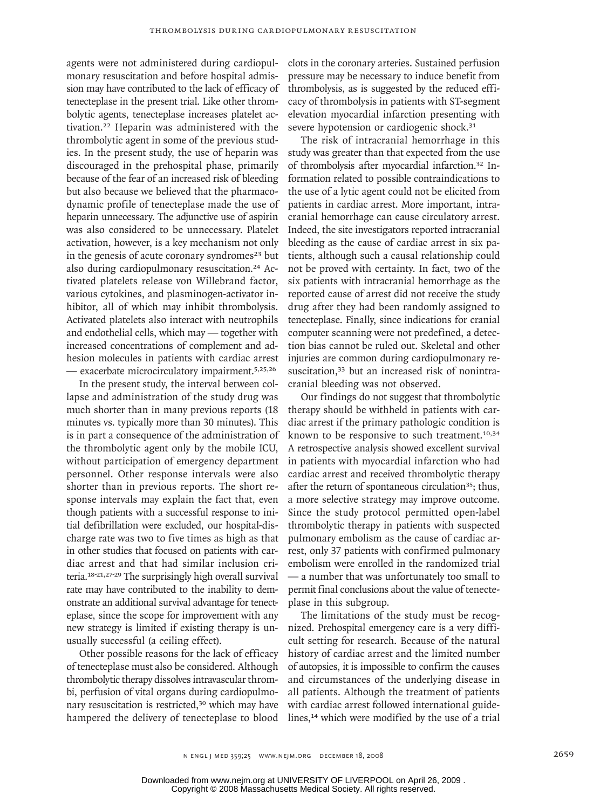agents were not administered during cardiopulmonary resuscitation and before hospital admission may have contributed to the lack of efficacy of tenecteplase in the present trial. Like other thrombolytic agents, tenecteplase increases platelet activation.22 Heparin was administered with the thrombolytic agent in some of the previous studies. In the present study, the use of heparin was discouraged in the prehospital phase, primarily because of the fear of an increased risk of bleeding but also because we believed that the pharmacodynamic profile of tenecteplase made the use of heparin unnecessary. The adjunctive use of aspirin was also considered to be unnecessary. Platelet activation, however, is a key mechanism not only in the genesis of acute coronary syndromes<sup>23</sup> but also during cardiopulmonary resuscitation.24 Activated platelets release von Willebrand factor, various cytokines, and plasminogen-activator inhibitor, all of which may inhibit thrombolysis. Activated platelets also interact with neutrophils and endothelial cells, which may — together with increased concentrations of complement and adhesion molecules in patients with cardiac arrest — exacerbate microcirculatory impairment.5,25,26

In the present study, the interval between collapse and administration of the study drug was much shorter than in many previous reports (18 minutes vs. typically more than 30 minutes). This is in part a consequence of the administration of the thrombolytic agent only by the mobile ICU, without participation of emergency department personnel. Other response intervals were also shorter than in previous reports. The short response intervals may explain the fact that, even though patients with a successful response to initial defibrillation were excluded, our hospital-discharge rate was two to five times as high as that in other studies that focused on patients with cardiac arrest and that had similar inclusion criteria.18-21,27-29 The surprisingly high overall survival rate may have contributed to the inability to demonstrate an additional survival advantage for tenecteplase, since the scope for improvement with any new strategy is limited if existing therapy is unusually successful (a ceiling effect).

Other possible reasons for the lack of efficacy of tenecteplase must also be considered. Although thrombolytic therapy dissolves intravascular thrombi, perfusion of vital organs during cardiopulmonary resuscitation is restricted,<sup>30</sup> which may have hampered the delivery of tenecteplase to blood clots in the coronary arteries. Sustained perfusion pressure may be necessary to induce benefit from thrombolysis, as is suggested by the reduced efficacy of thrombolysis in patients with ST-segment elevation myocardial infarction presenting with severe hypotension or cardiogenic shock.<sup>31</sup>

The risk of intracranial hemorrhage in this study was greater than that expected from the use of thrombolysis after myocardial infarction.32 Information related to possible contraindications to the use of a lytic agent could not be elicited from patients in cardiac arrest. More important, intracranial hemorrhage can cause circulatory arrest. Indeed, the site investigators reported intracranial bleeding as the cause of cardiac arrest in six patients, although such a causal relationship could not be proved with certainty. In fact, two of the six patients with intracranial hemorrhage as the reported cause of arrest did not receive the study drug after they had been randomly assigned to tenecteplase. Finally, since indications for cranial computer scanning were not predefined, a detection bias cannot be ruled out. Skeletal and other injuries are common during cardiopulmonary resuscitation,<sup>33</sup> but an increased risk of nonintracranial bleeding was not observed.

Our findings do not suggest that thrombolytic therapy should be withheld in patients with cardiac arrest if the primary pathologic condition is known to be responsive to such treatment.<sup>10,34</sup> A retrospective analysis showed excellent survival in patients with myocardial infarction who had cardiac arrest and received thrombolytic therapy after the return of spontaneous circulation<sup>35</sup>; thus, a more selective strategy may improve outcome. Since the study protocol permitted open-label thrombolytic therapy in patients with suspected pulmonary embolism as the cause of cardiac arrest, only 37 patients with confirmed pulmonary embolism were enrolled in the randomized trial — a number that was unfortunately too small to permit final conclusions about the value of tenecteplase in this subgroup.

The limitations of the study must be recognized. Prehospital emergency care is a very difficult setting for research. Because of the natural history of cardiac arrest and the limited number of autopsies, it is impossible to confirm the causes and circumstances of the underlying disease in all patients. Although the treatment of patients with cardiac arrest followed international guidelines,<sup>14</sup> which were modified by the use of a trial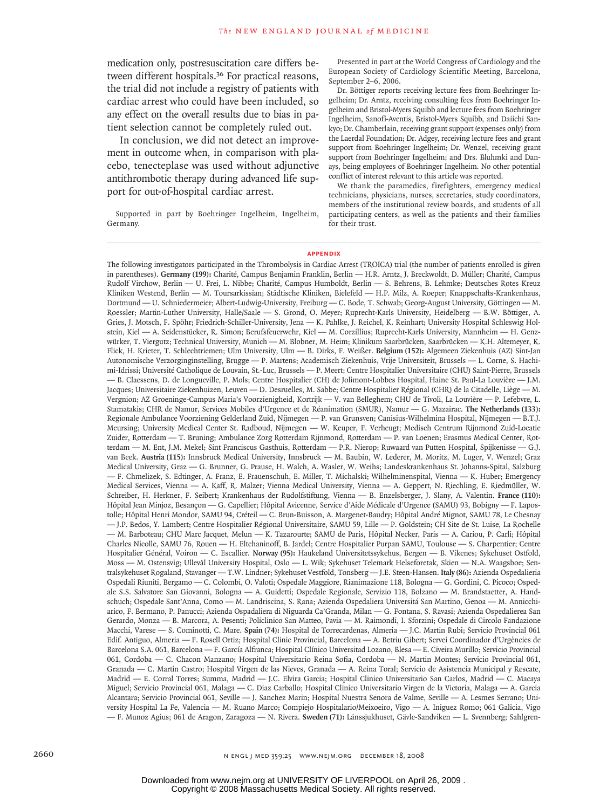medication only, postresuscitation care differs between different hospitals.<sup>36</sup> For practical reasons, the trial did not include a registry of patients with cardiac arrest who could have been included, so any effect on the overall results due to bias in patient selection cannot be completely ruled out.

In conclusion, we did not detect an improvement in outcome when, in comparison with placebo, tenecteplase was used without adjunctive antithrombotic therapy during advanced life support for out-of-hospital cardiac arrest.

Supported in part by Boehringer Ingelheim, Ingelheim, Germany.

Presented in part at the World Congress of Cardiology and the European Society of Cardiology Scientific Meeting, Barcelona, September 2–6, 2006.

Dr. Böttiger reports receiving lecture fees from Boehringer Ingelheim; Dr. Arntz, receiving consulting fees from Boehringer Ingelheim and Bristol-Myers Squibb and lecture fees from Boehringer Ingelheim, Sanofi-Aventis, Bristol-Myers Squibb, and Daiichi Sankyo; Dr. Chamberlain, receiving grant support (expenses only) from the Laerdal Foundation; Dr. Adgey, receiving lecture fees and grant support from Boehringer Ingelheim; Dr. Wenzel, receiving grant support from Boehringer Ingelheim; and Drs. Bluhmki and Danays, being employees of Boehringer Ingelheim. No other potential conflict of interest relevant to this article was reported.

We thank the paramedics, firefighters, emergency medical technicians, physicians, nurses, secretaries, study coordinators, members of the institutional review boards, and students of all participating centers, as well as the patients and their families for their trust.

#### **Appendix**

The following investigators participated in the Thrombolysis in Cardiac Arrest (TROICA) trial (the number of patients enrolled is given in parentheses). **Germany (199):** Charité, Campus Benjamin Franklin, Berlin — H.R. Arntz, J. Breckwoldt, D. Müller; Charité, Campus Rudolf Virchow, Berlin — U. Frei, L. Nibbe; Charité, Campus Humboldt, Berlin — S. Behrens, B. Lehmke; Deutsches Rotes Kreuz Kliniken Westend, Berlin — M. Toursarkissian; Städtische Kliniken, Bielefeld — H.P. Milz, A. Roeper; Knappschafts-Krankenhaus, Dortmund — U. Schniedermeier; Albert-Ludwig-University, Freiburg — C. Bode, T. Schwab; Georg-August University, Göttingen — M. Roessler; Martin-Luther University, Halle/Saale — S. Grond, O. Meyer; Ruprecht-Karls University, Heidelberg — B.W. Böttiger, A. Gries, J. Motsch, F. Spöhr; Friedrich-Schiller-University, Jena — K. Pahlke, J. Reichel, K. Reinhart; University Hospital Schleswig Holstein, Kiel — A. Seidenstücker, R. Simon; Berufsfeuerwehr, Kiel — M. Corzillius; Ruprecht-Karls University, Mannheim — H. Genzwürker, T. Viergutz; Technical University, Munich — M. Blobner, M. Heim; Klinikum Saarbrücken, Saarbrücken — K.H. Altemeyer, K. Flick, H. Krieter, T. Schlechtriemen; Ulm University, Ulm — B. Dirks, F. Weißer. **Belgium (152):** Algemeen Ziekenhuis (AZ) Sint-Jan Autonomische Verzorginginstelling, Brugge — P. Martens; Academisch Ziekenhuis, Vrije Universiteit, Brussels — L. Corne, S. Hachimi-Idrissi; Université Catholique de Louvain, St.-Luc, Brussels — P. Meert; Centre Hospitalier Universitaire (CHU) Saint-Pierre, Brussels — B. Claessens, D. de Longueville, P. Mols; Centre Hospitalier (CH) de Jolimont-Lobbes Hospital, Haine St. Paul-La Louvière — J.M. Jacques; Universitaire Ziekenhuizen, Leuven — D. Desruelles, M. Sabbe; Centre Hospitalier Régional (CHR) de la Citadelle, Liège — M. Vergnion; AZ Groeninge-Campus Maria's Voorzienigheid, Kortrijk — V. van Belleghem; CHU de Tivoli, La Louvière — P. Lefebvre, L. Stamatakis; CHR de Namur, Services Mobiles d'Urgence et de Réanimation (SMUR), Namur — G. Mazairac. **The Netherlands (133):** Regionale Ambulance Voorziening Gelderland Zuid, Nijmegen — P. van Grunsven; Canisius-Wilhelmina Hospital, Nijmegen — B.T.J. Meursing; University Medical Center St. Radboud, Nijmegen — W. Keuper, F. Verheugt; Medisch Centrum Rijnmond Zuid-Locatie Zuider, Rotterdam — T. Bruning; Ambulance Zorg Rotterdam Rijnmond, Rotterdam — P. van Loenen; Erasmus Medical Center, Rotterdam — M. Ent, J.M. Mekel; Sint Franciscus Gasthuis, Rotterdam — P.R. Nierop; Ruwaard van Putten Hospital, Spijkenisse — G.J. van Beek. **Austria (115):** Innsbruck Medical University, Innsbruck — M. Baubin, W. Lederer, M. Moritz, M. Luger, V. Wenzel; Graz Medical University, Graz — G. Brunner, G. Prause, H. Walch, A. Wasler, W. Weihs; Landeskrankenhaus St. Johanns-Spital, Salzburg — F. Chmelizek, S. Edtinger, A. Franz, E. Frauenschuh, E. Miller, T. Michalski; Wilhelminenspital, Vienna — K. Huber; Emergency Medical Services, Vienna — A. Kaff, R. Malzer; Vienna Medical University, Vienna — A. Geppert, N. Riechling, E. Riedmüller, W. Schreiber, H. Herkner, F. Seibert; Krankenhaus der Rudolfstiftung, Vienna — B. Enzelsberger, J. Slany, A. Valentin. **France (110):** Hôpital Jean Minjoz, Besançon — G. Capellier; Hôpital Avicenne, Service d'Aide Médicale d'Urgence (SAMU) 93, Bobigny — F. Lapostolle; Hôpital Henri Mondor, SAMU 94, Créteil — C. Brun-Buisson, A. Margenet-Baudry; Hôpital André Mignot, SAMU 78, Le Chesnay — J.P. Bedos, Y. Lambert; Centre Hospitalier Régional Universitaire, SAMU 59, Lille — P. Goldstein; CH Site de St. Luise, La Rochelle — M. Barboteau; CHU Marc Jacquet, Melun — K. Tazarourte; SAMU de Paris, Hôpital Necker, Paris — A. Cariou, P. Carli; Hôpital Charles Nicolle, SAMU 76, Rouen — H. Eltchaninoff, B. Jardel; Centre Hospitalier Purpan SAMU, Toulouse — S. Charpentier; Centre Hospitalier Général, Voiron — C. Escallier. **Norway (95):** Haukeland Universitetssykehus, Bergen — B. Vikenes; Sykehuset Ostfold, Moss — M. Ostensvig; Ullevål University Hospital, Oslo — L. Wik; Sykehuset Telemark Helseforetak, Skien — N.A. Waagsboe; Sentralsykehuset Rogaland, Stavanger — T.W. Lindner; Sykehuset Vestfold, Tonsberg — J.E. Steen-Hansen. **Italy (86):** Azienda Ospedalieria Ospedali Riuniti, Bergamo — C. Colombi, O. Valoti; Ospedale Maggiore, Rianimazione 118, Bologna — G. Gordini, C. Picoco; Ospedale S.S. Salvatore San Giovanni, Bologna — A. Guidetti; Ospedale Regionale, Servizio 118, Bolzano — M. Brandstaetter, A. Handschuch; Ospedale Sant'Anna, Como — M. Landriscina, S. Rana; Azienda Ospedaliera Universitá San Martino, Genoa — M. Annicchiarico, F. Bermano, P. Panucci; Azienda Ospadaliera di Niguarda Ca'Granda, Milan — G. Fontana, S. Ravasi; Azienda Ospedalierea San Gerardo, Monza — B. Marcora, A. Pesenti; Policlinico San Matteo, Pavia — M. Raimondi, I. Sforzini; Ospedale di Circolo Fandazione Macchi, Varese — S. Cominotti, C. Mare. **Spain (74):** Hospital de Torrecardenas, Almeria — J.C. Martin Rubi; Servicio Provincial 061 Edif. Antiguo, Almeria — F. Rosell Ortiz; Hospital Clinic Provincial, Barcelona — A. Betriu Gibert; Servei Coordinador d'Urgències de Barcelona S.A. 061, Barcelona — F. García Alfranca; Hospital Clínico Universitad Lozano, Blesa — E. Civeira Murillo; Servicio Provincial 061, Cordoba — C. Chacon Manzano; Hospital Universitario Reina Sofia, Cordoba — N. Martin Montes; Servicio Provincial 061, Granada — C. Martin Castro; Hospital Virgen de las Nieves, Granada — A. Reina Toral; Servicio de Asistencia Municipal y Rescate, Madrid — E. Corral Torres; Summa, Madrid — J.C. Elvira Garcia; Hospital Clinico Universitario San Carlos, Madrid — C. Macaya Miguel; Servicio Provincial 061, Malaga — C. Diaz Carballo; Hospital Clinico Universitario Virgen de la Victoria, Malaga — A. Garcia Alcantara; Servicio Provincial 061, Seville — J. Sanchez Marin; Hospital Nuestra Senora de Valme, Seville — A. Lesmes Serrano; University Hospital La Fe, Valencia — M. Ruano Marco; Compiejo Hospitalario/Meixoeiro, Vigo — A. Iniguez Romo; 061 Galicia, Vigo — F. Munoz Agius; 061 de Aragon, Zaragoza — N. Rivera. **Sweden (71):** Länssjukhuset, Gävle-Sandviken — L. Svennberg; Sahlgren-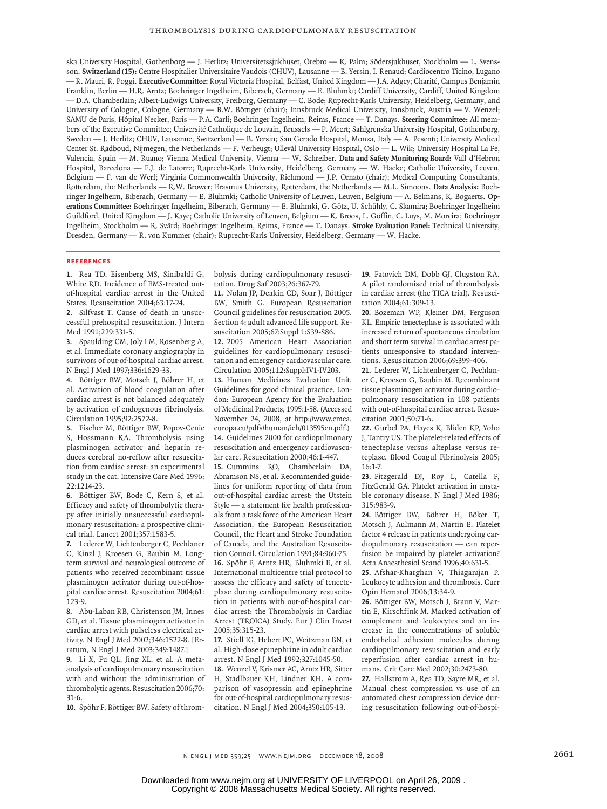ska University Hospital, Gothenborg — J. Herlitz; Universitetssjukhuset, Örebro — K. Palm; Södersjukhuset, Stockholm — L. Svensson. Switzerland (15): Centre Hospitalier Universitaire Vaudois (CHUV), Lausanne - B. Yersin, I. Renaud; Cardiocentro Ticino, Lugano — R. Mauri, R. Poggi. **Executive Committee:** Royal Victoria Hospital, Belfast, United Kingdom — J.A. Adgey; Charité, Campus Benjamin Franklin, Berlin — H.R. Arntz; Boehringer Ingelheim, Biberach, Germany — E. Bluhmki; Cardiff University, Cardiff, United Kingdom — D.A. Chamberlain; Albert-Ludwigs University, Freiburg, Germany — C. Bode; Ruprecht-Karls University, Heidelberg, Germany, and University of Cologne, Cologne, Germany — B.W. Böttiger (chair); Innsbruck Medical University, Innsbruck, Austria — V. Wenzel; SAMU de Paris, Hôpital Necker, Paris — P.A. Carli; Boehringer Ingelheim, Reims, France — T. Danays. **Steering Committee:** All members of the Executive Committee; Université Catholique de Louvain, Brussels — P. Meert; Sahlgrenska University Hospital, Gothenborg, Sweden — J. Herlitz; CHUV, Lausanne, Switzerland — B. Yersin; San Gerado Hospital, Monza, Italy — A. Pesenti; University Medical Center St. Radboud, Nijmegen, the Netherlands — F. Verheugt; Ullevål University Hospital, Oslo — L. Wik; University Hospital La Fe, Valencia, Spain — M. Ruano; Vienna Medical University, Vienna — W. Schreiber. **Data and Safety Monitoring Board:** Vall d'Hebron Hospital, Barcelona — F.J. de Latorre; Ruprecht-Karls University, Heidelberg, Germany — W. Hacke; Catholic University, Leuven, Belgium — F. van de Werf; Virginia Commonwealth University, Richmond — J.P. Ornato (chair); Medical Computing Consultants, Rotterdam, the Netherlands — R.W. Brower; Erasmus University, Rotterdam, the Netherlands — M.L. Simoons. **Data Analysis:** Boehringer Ingelheim, Biberach, Germany — E. Bluhmki; Catholic University of Leuven, Leuven, Belgium — A. Belmans, K. Bogaerts. **Operations Committee:** Boehringer Ingelheim, Biberach, Germany — E. Bluhmki, G. Götz, U. Schühly, C. Skamira; Boehringer Ingelheim Guildford, United Kingdom — J. Kaye; Catholic University of Leuven, Belgium — K. Broos, L. Goffin, C. Luys, M. Moreira; Boehringer Ingelheim, Stockholm — R. Svärd; Boehringer Ingelheim, Reims, France — T. Danays. **Stroke Evaluation Panel:** Technical University, Dresden, Germany — R. von Kummer (chair); Ruprecht-Karls University, Heidelberg, Germany — W. Hacke.

#### **References**

**1.** Rea TD, Eisenberg MS, Sinibaldi G, White RD. Incidence of EMS-treated outof-hospital cardiac arrest in the United States. Resuscitation 2004;63:17-24.

**2.** Silfvast T. Cause of death in unsuccessful prehospital resuscitation. J Intern Med 1991;229:331-5.

**3.** Spaulding CM, Joly LM, Rosenberg A, et al. Immediate coronary angiography in survivors of out-of-hospital cardiac arrest. N Engl J Med 1997;336:1629-33.

**4.** Böttiger BW, Motsch J, Böhrer H, et al. Activation of blood coagulation after cardiac arrest is not balanced adequately by activation of endogenous fibrinolysis. Circulation 1995;92:2572-8.

**5.** Fischer M, Böttiger BW, Popov-Cenic S, Hossmann KA. Thrombolysis using plasminogen activator and heparin reduces cerebral no-reflow after resuscitation from cardiac arrest: an experimental study in the cat. Intensive Care Med 1996; 22:1214-23.

**6.** Böttiger BW, Bode C, Kern S, et al. Efficacy and safety of thrombolytic therapy after initially unsuccessful cardiopulmonary resuscitation: a prospective clinical trial. Lancet 2001;357:1583-5.

**7.** Lederer W, Lichtenberger C, Pechlaner C, Kinzl J, Kroesen G, Baubin M. Longterm survival and neurological outcome of patients who received recombinant tissue plasminogen activator during out-of-hospital cardiac arrest. Resuscitation 2004;61: 123-9.

**8.** Abu-Laban RB, Christenson JM, Innes GD, et al. Tissue plasminogen activator in cardiac arrest with pulseless electrical activity. N Engl J Med 2002;346:1522-8. [Erratum, N Engl J Med 2003;349:1487.]

**9.** Li X, Fu QL, Jing XL, et al. A metaanalysis of cardiopulmonary resuscitation with and without the administration of thrombolytic agents. Resuscitation 2006;70: 31-6.

**10.** Spöhr F, Böttiger BW. Safety of throm-

bolysis during cardiopulmonary resuscitation. Drug Saf 2003;26:367-79.

**11.** Nolan JP, Deakin CD, Soar J, Böttiger BW, Smith G. European Resuscitation Council guidelines for resuscitation 2005. Section 4: adult advanced life support. Resuscitation 2005;67:Suppl 1:S39-S86.

**12.** 2005 American Heart Association guidelines for cardiopulmonary resuscitation and emergency cardiovascular care. Circulation 2005;112:Suppl:IV1-IV203.

**13.** Human Medicines Evaluation Unit. Guidelines for good clinical practice. London: European Agency for the Evaluation of Medicinal Products, 1995:1-58. (Accessed November 24, 2008, at http://www.emea. europa.eu/pdfs/human/ich/013595en.pdf.) **14.** Guidelines 2000 for cardiopulmonary resuscitation and emergency cardiovascular care. Resuscitation 2000;46:1-447.

**15.** Cummins RO, Chamberlain DA, Abramson NS, et al. Recommended guidelines for uniform reporting of data from out-of-hospital cardiac arrest: the Utstein Style — a statement for health professionals from a task force of the American Heart Association, the European Resuscitation Council, the Heart and Stroke Foundation of Canada, and the Australian Resuscitation Council. Circulation 1991;84:960-75.

**16.** Spöhr F, Arntz HR, Bluhmki E, et al. International multicentre trial protocol to assess the efficacy and safety of tenecteplase during cardiopulmonary resuscitation in patients with out-of-hospital cardiac arrest: the Thrombolysis in Cardiac Arrest (TROICA) Study. Eur J Clin Invest 2005;35:315-23.

**17.** Stiell IG, Hebert PC, Weitzman BN, et al. High-dose epinephrine in adult cardiac arrest. N Engl J Med 1992;327:1045-50.

**18.** Wenzel V, Krismer AC, Arntz HR, Sitter H, Stadlbauer KH, Lindner KH. A comparison of vasopressin and epinephrine for out-of-hospital cardiopulmonary resuscitation. N Engl J Med 2004;350:105-13.

**19.** Fatovich DM, Dobb GJ, Clugston RA. A pilot randomised trial of thrombolysis in cardiac arrest (the TICA trial). Resuscitation 2004;61:309-13.

**20.** Bozeman WP, Kleiner DM, Ferguson KL. Empiric tenecteplase is associated with increased return of spontaneous circulation and short term survival in cardiac arrest patients unresponsive to standard interventions. Resuscitation 2006;69:399-406.

**21.** Lederer W, Lichtenberger C, Pechlaner C, Kroesen G, Baubin M. Recombinant tissue plasminogen activator during cardiopulmonary resuscitation in 108 patients with out-of-hospital cardiac arrest. Resuscitation 2001;50:71-6.

**22.** Gurbel PA, Hayes K, Bliden KP, Yoho J, Tantry US. The platelet-related effects of tenecteplase versus alteplase versus reteplase. Blood Coagul Fibrinolysis 2005; 16:1-7.

**23.** Fitzgerald DJ, Roy L, Catella F, FitzGerald GA. Platelet activation in unstable coronary disease. N Engl J Med 1986; 315:983-9.

**24.** Böttiger BW, Böhrer H, Böker T, Motsch J, Aulmann M, Martin E. Platelet factor 4 release in patients undergoing cardiopulmonary resuscitation — can reperfusion be impaired by platelet activation? Acta Anaesthesiol Scand 1996;40:631-5.

**25.** Afshar-Kharghan V, Thiagarajan P. Leukocyte adhesion and thrombosis. Curr Opin Hematol 2006;13:34-9.

**26.** Böttiger BW, Motsch J, Braun V, Martin E, Kirschfink M. Marked activation of complement and leukocytes and an increase in the concentrations of soluble endothelial adhesion molecules during cardiopulmonary resuscitation and early reperfusion after cardiac arrest in humans. Crit Care Med 2002;30:2473-80.

**27.** Hallstrom A, Rea TD, Sayre MR, et al. Manual chest compression vs use of an automated chest compression device during resuscitation following out-of-hospi